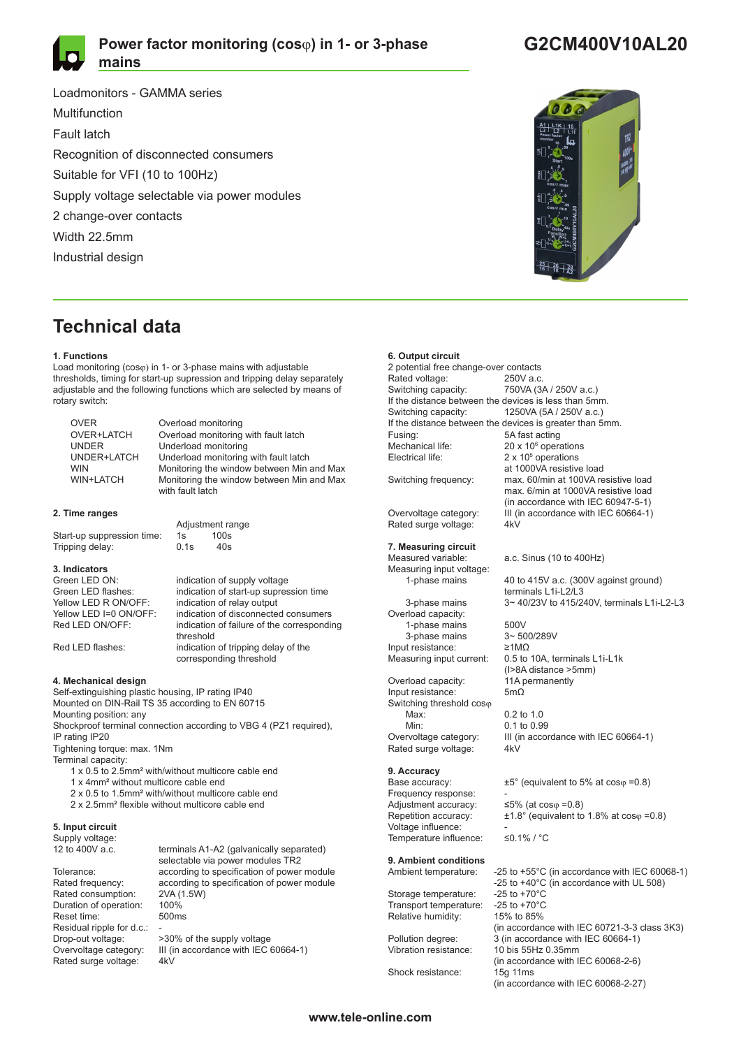

## **Power factor monitoring (cos**ϕ**) in 1- or 3-phase mains**

Loadmonitors - GAMMA series Multifunction Fault latch Recognition of disconnected consumers Suitable for VFI (10 to 100Hz) Supply voltage selectable via power modules 2 change-over contacts Width 22.5mm Industrial design

# **Technical data**

#### **1. Functions**

Load monitoring (cosϕ) in 1- or 3-phase mains with adjustable thresholds, timing for start-up supression and tripping delay separately adjustable and the following functions which are selected by means of rotary switch:

| <b>OVER</b>      | Overload monitoring                       |
|------------------|-------------------------------------------|
| OVER+LATCH       | Overload monitoring with fault latch      |
| <b>UNDER</b>     | Underload monitoring                      |
| UNDER+LATCH      | Underload monitoring with fault latch     |
| <b>WIN</b>       | Monitoring the window between Min and Max |
| <b>WIN+LATCH</b> | Monitoring the window between Min and Max |
|                  | with fault latch                          |

### **2. Time ranges**

Start-up suppression time: 1s 100s<br>Tripping delay: 0.1s 40s Tripping delay: 0.1s

# **3. Indicators**

Yellow LED R ON/OFF: indication of relay output<br>Yellow LED I=0 ON/OFF: indication of disconnecte

Adjustment range<br>1s 100s

Green LED ON: indication of supply voltage<br>Green LED flashes: indication of start-up supper Green LED flashes: indication of start-up supression time<br>
Yellow LED R ON/OFF: indication of relay output Yellow LED I=0 ON/OFF: indication of disconnected consumers<br>Red LED ON/OFF: indication of failure of the correspondin indication of failure of the corresponding threshold<br>
Red LED flashes:<br>
indication indication of tripping delay of the corresponding threshold

#### **4. Mechanical design**

Self-extinguishing plastic housing, IP rating IP40 Mounted on DIN-Rail TS 35 according to EN 60715 Mounting position: any Shockproof terminal connection according to VBG 4 (PZ1 required), IP rating IP20 Tightening torque: max. 1Nm

Terminal capacity:

- 1 x 0.5 to 2.5mm² with/without multicore cable end
- 1 x 4mm² without multicore cable end
- 2 x 0.5 to 1.5mm² with/without multicore cable end
- 2 x 2.5mm² flexible without multicore cable end

### **5. Input circuit**

Supply voltage:<br>12 to 400V a.c.

Rated consumption: Duration of operation: 100% Reset time: 500ms Residual ripple for d.c.:<br>Drop-out voltage: Rated surge voltage:

terminals A1-A2 (galvanically separated) selectable via power modules TR2 Tolerance: according to specification of power module Rated frequency: according to specification of power module<br>Rated consumption: 2VA (1.5W)

Drop-out voltage: >30% of the supply voltage<br>Overvoltage category: III (in accordance with IEC III (in accordance with IEC 60664-1)<br> $4kV$ 

### **6. Output circuit**

2 potential free change-over contacts Rated voltage: 250V a.c. Switching capacity: 750VA (3A / 250V a.c.) If the distance between the devices is less than 5mm. Switching capacity: 1250VA (5A / 250V a.c.) If the distance between the devices is greater than 5mm.<br>Fusing: 5A fast acting 5A fast acting Mechanical life:  $20 \times 10^6$  operations Electrical life:  $2 \times 10^5$  operations at 1000VA resistive load<br>Switching frequency: max. 60/min at 100VA re Overvoltage category: III (in accordance with IEC 60664-1)<br>Rated surge voltage: 4kV Rated surge voltage: **7. Measuring circuit** a.c. Sinus (10 to  $400Hz$ ) Measuring input voltage:<br>1-phase mains terminals L1i-L2/L3<br>3-phase mains 3~40/23V to 415/2

Overload capacity: 1-phase mains  $500V$ <br>3-phase mains  $3 \sim 500/289V$ 3-phase mains  $3 \sim 500$ <br>at resistance:  $\geq 1 \text{M}\Omega$ Input resistance:<br>Measuring input current:

Overload capacity: 11A permanently 11A permanently 11A permanently 11A permanently 11A permanently 1 Input resistance: Switching threshold cosφ<br>Max: Max: 0.2 to 1.0<br>Min: 0.1 to 0.9 Min: 0.1 to 0.99<br>Overvoltage category: III (in acco Rated surge voltage: 4kV

# **9. Accuracy**

Frequency response: Adjustment accuracy:  $\leq 5\%$  (at cos $\varphi = 0.8$ ) Voltage influence:  $\frac{1}{2}$  Temperature influence:  $\frac{1}{2}$  S0.1% / °C Temperature influence:

## **9. Ambient conditions**

Storage temperature: -25 to +70°C<br>Transport temperature: -25 to +70°C Transport temperature:

Shock resistance: 15g 11ms

max. 60/min at 100VA resistive load max. 6/min at 1000VA resistive load (in accordance with IEC 60947-5-1)

40 to 415V a.c. (300V against ground) 3~ 40/23V to 415/240V, terminals L1i-L2-L3

0.5 to 10A, terminals L1i-L1k (I>8A distance >5mm)

III (in accordance with IEC 60664-1)

 $±5°$  (equivalent to 5% at cos $\varphi = 0.8$ )

Repetition accuracy:  $\pm 1.8^\circ$  (equivalent to 1.8% at cos $\varphi = 0.8$ )

Ambient temperature: -25 to +55°C (in accordance with IEC 60068-1) -25 to +40°C (in accordance with UL 508)<br>-25 to +70°C Relative humidity: 15% to 85% (in accordance with IEC 60721-3-3 class 3K3)<br>Pollution degree: 3 (in accordance with IEC 60664-1) Pollution degree: 3 (in accordance with IEC 60664-1) 10 bis 55Hz 0.35mm (in accordance with IEC 60068-2-6) (in accordance with IEC 60068-2-27)



## **G2CM400V10AL20**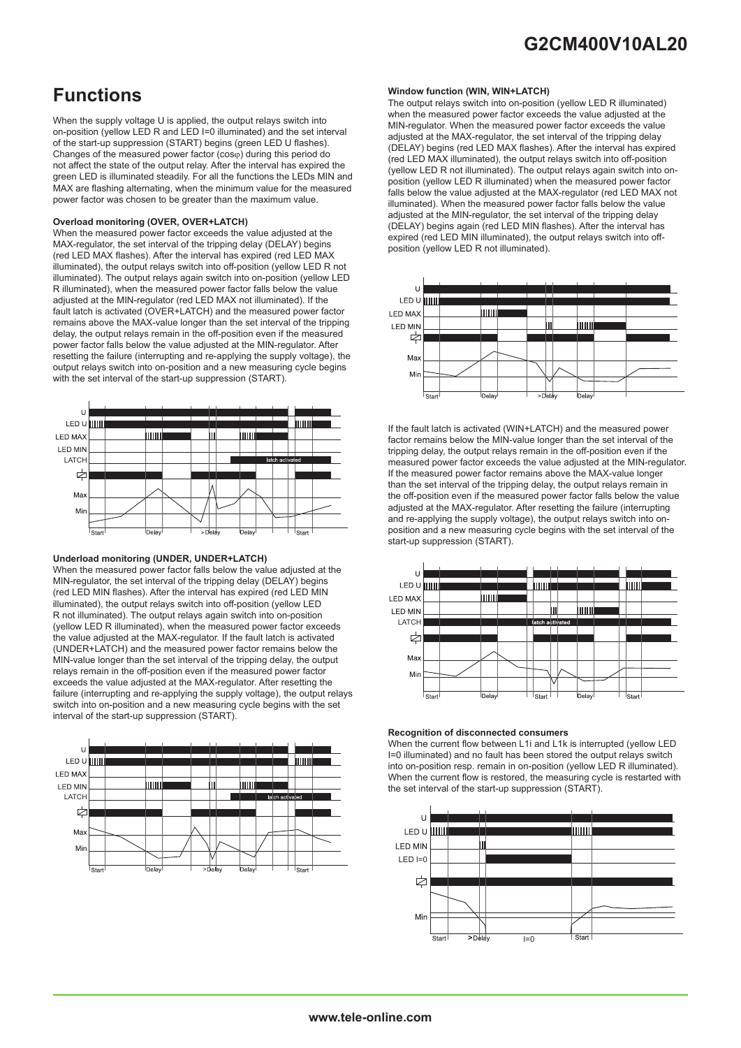# **G2CM400V10AL20**

# **Functions**

When the supply voltage U is applied, the output relays switch into on-position (yellow LED R and LED I=0 illuminated) and the set interval of the start-up suppression (START) begins (green LED U flashes). Changes of the measured power factor (cos $\varphi$ ) during this period do not affect the state of the output relay. After the interval has expired the green LED is illuminated steadily. For all the functions the LEDs MIN and MAX are flashing alternating, when the minimum value for the measured power factor was chosen to be greater than the maximum value.

### **Overload monitoring (OVER, OVER+LATCH)**

When the measured power factor exceeds the value adjusted at the MAX-regulator, the set interval of the tripping delay (DELAY) begins (red LED MAX flashes). After the interval has expired (red LED MAX illuminated), the output relays switch into off-position (yellow LED R not illuminated). The output relays again switch into on-position (yellow LED R illuminated), when the measured power factor falls below the value adjusted at the MIN-regulator (red LED MAX not illuminated). If the fault latch is activated (OVER+LATCH) and the measured power factor remains above the MAX-value longer than the set interval of the tripping delay, the output relays remain in the off-position even if the measured power factor falls below the value adjusted at the MIN-regulator. After resetting the failure (interrupting and re-applying the supply voltage), the output relays switch into on-position and a new measuring cycle begins with the set interval of the start-up suppression (START).



### **Underload monitoring (UNDER, UNDER+LATCH)**

When the measured power factor falls below the value adjusted at the MIN-regulator, the set interval of the tripping delay (DELAY) begins (red LED MIN flashes). After the interval has expired (red LED MIN illuminated), the output relays switch into off-position (yellow LED R not illuminated). The output relays again switch into on-position (yellow LED R illuminated), when the measured power factor exceeds the value adjusted at the MAX-regulator. If the fault latch is activated (UNDER+LATCH) and the measured power factor remains below the MIN-value longer than the set interval of the tripping delay, the output relays remain in the off-position even if the measured power factor exceeds the value adjusted at the MAX-regulator. After resetting the failure (interrupting and re-applying the supply voltage), the output relays switch into on-position and a new measuring cycle begins with the set interval of the start-up suppression (START).



### **Window function (WIN, WIN+LATCH)**

The output relays switch into on-position (yellow LED R illuminated) when the measured power factor exceeds the value adjusted at the MIN-regulator. When the measured power factor exceeds the value adjusted at the MAX-regulator, the set interval of the tripping delay (DELAY) begins (red LED MAX flashes). After the interval has expired (red LED MAX illuminated), the output relays switch into off-position (yellow LED R not illuminated). The output relays again switch into onposition (yellow LED R illuminated) when the measured power factor falls below the value adjusted at the MAX-regulator (red LED MAX not illuminated). When the measured power factor falls below the value adjusted at the MIN-regulator, the set interval of the tripping delay (DELAY) begins again (red LED MIN flashes). After the interval has expired (red LED MIN illuminated), the output relays switch into offposition (yellow LED R not illuminated).



If the fault latch is activated (WIN+LATCH) and the measured power factor remains below the MIN-value longer than the set interval of the tripping delay, the output relays remain in the off-position even if the measured power factor exceeds the value adjusted at the MIN-regulator. If the measured power factor remains above the MAX-value longer than the set interval of the tripping delay, the output relays remain in the off-position even if the measured power factor falls below the value adjusted at the MAX-regulator. After resetting the failure (interrupting and re-applying the supply voltage), the output relays switch into onposition and a new measuring cycle begins with the set interval of the start-up suppression (START).



### **Recognition of disconnected consumers**

When the current flow between L1i and L1k is interrupted (yellow LED I=0 illuminated) and no fault has been stored the output relays switch into on-position resp. remain in on-position (yellow LED R illuminated). When the current flow is restored, the measuring cycle is restarted with the set interval of the start-up suppression (START).